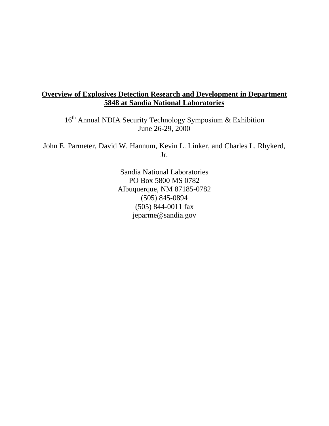# **Overview of Explosives Detection Research and Development in Department 5848 at Sandia National Laboratories**

16th Annual NDIA Security Technology Symposium & Exhibition June 26-29, 2000

John E. Parmeter, David W. Hannum, Kevin L. Linker, and Charles L. Rhykerd, Jr.

> Sandia National Laboratories PO Box 5800 MS 0782 Albuquerque, NM 87185-0782 (505) 845-0894 (505) 844-0011 fax jeparme@sandia.gov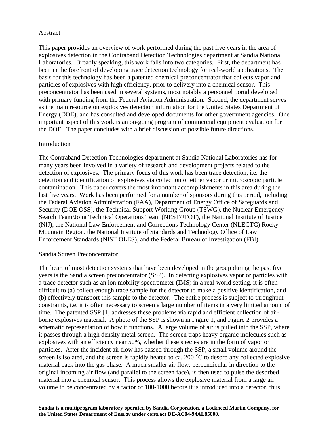#### Abstract

This paper provides an overview of work performed during the past five years in the area of explosives detection in the Contraband Detection Technologies department at Sandia National Laboratories. Broadly speaking, this work falls into two categories. First, the department has been in the forefront of developing trace detection technology for real-world applications. The basis for this technology has been a patented chemical preconcentrator that collects vapor and particles of explosives with high efficiency, prior to delivery into a chemical sensor. This preconcentrator has been used in several systems, most notably a personnel portal developed with primary funding from the Federal Aviation Administration. Second, the department serves as the main resource on explosives detection information for the United States Department of Energy (DOE), and has consulted and developed documents for other government agencies. One important aspect of this work is an on-going program of commercial equipment evaluation for the DOE. The paper concludes with a brief discussion of possible future directions.

#### Introduction

The Contraband Detection Technologies department at Sandia National Laboratories has for many years been involved in a variety of research and development projects related to the detection of explosives. The primary focus of this work has been trace detection, i.e. the detection and identification of explosives via collection of either vapor or microscopic particle contamination. This paper covers the most important accomplishments in this area during the last five years. Work has been performed for a number of sponsors during this period, including the Federal Aviation Administration (FAA), Department of Energy Office of Safeguards and Security (DOE OSS), the Technical Support Working Group (TSWG), the Nuclear Emergency Search Team/Joint Technical Operations Team (NEST/JTOT), the National Institute of Justice (NIJ), the National Law Enforcement and Corrections Technology Center (NLECTC) Rocky Mountain Region, the National Institute of Standards and Technology Office of Law Enforcement Standards (NIST OLES), and the Federal Bureau of Investigation (FBI).

#### Sandia Screen Preconcentrator

The heart of most detection systems that have been developed in the group during the past five years is the Sandia screen preconcentrator (SSP). In detecting explosives vapor or particles with a trace detector such as an ion mobility spectrometer (IMS) in a real-world setting, it is often difficult to (a) collect enough trace sample for the detector to make a positive identification, and (b) effectively transport this sample to the detector. The entire process is subject to throughput constraints, i.e. it is often necessary to screen a large number of items in a very limited amount of time. The patented SSP [1] addresses these problems via rapid and efficient collection of airborne explosives material. A photo of the SSP is shown in Figure 1, and Figure 2 provides a schematic representation of how it functions. A large volume of air is pulled into the SSP, where it passes through a high density metal screen. The screen traps heavy organic molecules such as explosives with an efficiency near 50%, whether these species are in the form of vapor or particles. After the incident air flow has passed through the SSP, a small volume around the screen is isolated, and the screen is rapidly heated to ca. 200 °C to desorb any collected explosive material back into the gas phase. A much smaller air flow, perpendicular in direction to the original incoming air flow (and parallel to the screen face), is then used to pulse the desorbed material into a chemical sensor. This process allows the explosive material from a large air volume to be concentrated by a factor of 100-1000 before it is introduced into a detector, thus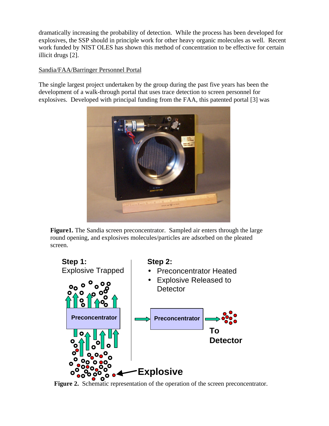dramatically increasing the probability of detection. While the process has been developed for explosives, the SSP should in principle work for other heavy organic molecules as well. Recent work funded by NIST OLES has shown this method of concentration to be effective for certain illicit drugs [2].

# Sandia/FAA/Barringer Personnel Portal

The single largest project undertaken by the group during the past five years has been the development of a walk-through portal that uses trace detection to screen personnel for explosives. Developed with principal funding from the FAA, this patented portal [3] was



**Figure1.** The Sandia screen preconcentrator. Sampled air enters through the large round opening, and explosives molecules/particles are adsorbed on the pleated screen.



**Figure 2.** Schematic representation of the operation of the screen preconcentrator.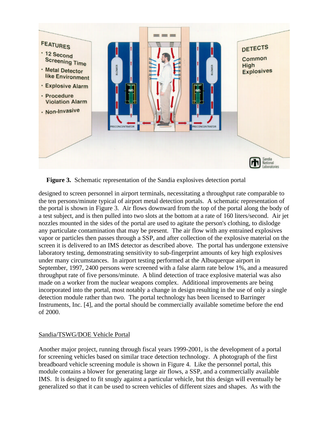![](_page_3_Figure_0.jpeg)

**Figure 3.** Schematic representation of the Sandia explosives detection portal

designed to screen personnel in airport terminals, necessitating a throughput rate comparable to the ten persons/minute typical of airport metal detection portals. A schematic representation of the portal is shown in Figure 3. Air flows downward from the top of the portal along the body of a test subject, and is then pulled into two slots at the bottom at a rate of 160 liters/second. Air jet nozzles mounted in the sides of the portal are used to agitate the person's clothing, to dislodge any particulate contamination that may be present. The air flow with any entrained explosives vapor or particles then passes through a SSP, and after collection of the explosive material on the screen it is delivered to an IMS detector as described above. The portal has undergone extensive laboratory testing, demonstrating sensitivity to sub-fingerprint amounts of key high explosives under many circumstances. In airport testing performed at the Albuquerque airport in September, 1997, 2400 persons were screened with a false alarm rate below 1%, and a measured throughput rate of five persons/minute. A blind detection of trace explosive material was also made on a worker from the nuclear weapons complex. Additional improvements are being incorporated into the portal, most notably a change in design resulting in the use of only a single detection module rather than two. The portal technology has been licensed to Barringer Instruments, Inc. [4], and the portal should be commercially available sometime before the end of 2000.

# Sandia/TSWG/DOE Vehicle Portal

Another major project, running through fiscal years 1999-2001, is the development of a portal for screening vehicles based on similar trace detection technology. A photograph of the first breadboard vehicle screening module is shown in Figure 4. Like the personnel portal, this module contains a blower for generating large air flows, a SSP, and a commercially available IMS. It is designed to fit snugly against a particular vehicle, but this design will eventually be generalized so that it can be used to screen vehicles of different sizes and shapes. As with the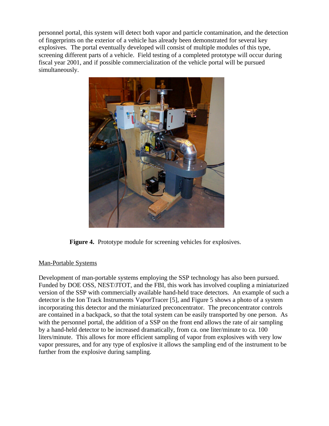personnel portal, this system will detect both vapor and particle contamination, and the detection of fingerprints on the exterior of a vehicle has already been demonstrated for several key explosives. The portal eventually developed will consist of multiple modules of this type, screening different parts of a vehicle. Field testing of a completed prototype will occur during fiscal year 2001, and if possible commercialization of the vehicle portal will be pursued simultaneously.

![](_page_4_Picture_1.jpeg)

**Figure 4.** Prototype module for screening vehicles for explosives.

# Man-Portable Systems

Development of man-portable systems employing the SSP technology has also been pursued. Funded by DOE OSS, NEST/JTOT, and the FBI, this work has involved coupling a miniaturized version of the SSP with commercially available hand-held trace detectors. An example of such a detector is the Ion Track Instruments VaporTracer [5], and Figure 5 shows a photo of a system incorporating this detector and the miniaturized preconcentrator. The preconcentrator controls are contained in a backpack, so that the total system can be easily transported by one person. As with the personnel portal, the addition of a SSP on the front end allows the rate of air sampling by a hand-held detector to be increased dramatically, from ca. one liter/minute to ca. 100 liters/minute. This allows for more efficient sampling of vapor from explosives with very low vapor pressures, and for any type of explosive it allows the sampling end of the instrument to be further from the explosive during sampling.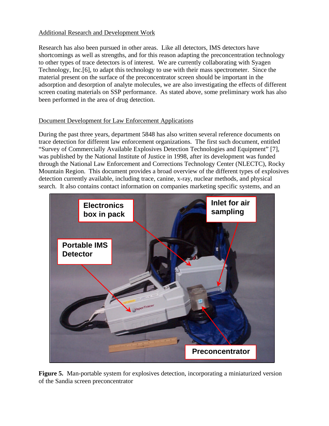# Additional Research and Development Work

Research has also been pursued in other areas. Like all detectors, IMS detectors have shortcomings as well as strengths, and for this reason adapting the preconcentration technology to other types of trace detectors is of interest. We are currently collaborating with Syagen Technology, Inc.[6], to adapt this technology to use with their mass spectrometer. Since the material present on the surface of the preconcentrator screen should be important in the adsorption and desorption of analyte molecules, we are also investigating the effects of different screen coating materials on SSP performance. As stated above, some preliminary work has also been performed in the area of drug detection.

#### Document Development for Law Enforcement Applications

During the past three years, department 5848 has also written several reference documents on trace detection for different law enforcement organizations. The first such document, entitled "Survey of Commercially Available Explosives Detection Technologies and Equipment" [7], was published by the National Institute of Justice in 1998, after its development was funded through the National Law Enforcement and Corrections Technology Center (NLECTC), Rocky Mountain Region. This document provides a broad overview of the different types of explosives detection currently available, including trace, canine, x-ray, nuclear methods, and physical search. It also contains contact information on companies marketing specific systems, and an

![](_page_5_Picture_4.jpeg)

**Figure 5.** Man-portable system for explosives detection, incorporating a miniaturized version of the Sandia screen preconcentrator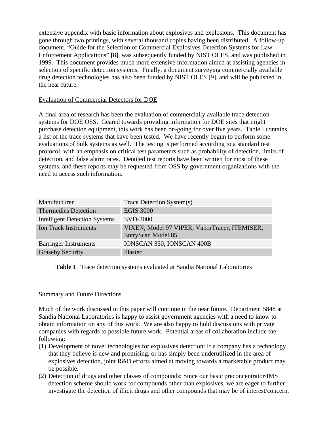extensive appendix with basic information about explosives and explosions. This document has gone through two printings, with several thousand copies having been distributed. A follow-up document, "Guide for the Selection of Commercial Explosives Detection Systems for Law Enforcement Applications" [8], was subsequently funded by NIST OLES, and was published in 1999. This document provides much more extensive information aimed at assisting agencies in selection of specific detection systems. Finally, a document surveying commercially available drug detection technologies has also been funded by NIST OLES [9], and will be published in the near future.

#### Evaluation of Commercial Detectors for DOE

A final area of research has been the evaluation of commercially available trace detection systems for DOE OSS. Geared towards providing information for DOE sites that might purchase detection equipment, this work has been on-going for over five years. Table I contains a list of the trace systems that have been tested. We have recently begun to perform some evaluations of bulk systems as well. The testing is performed according to a standard test protocol, with an emphasis on critical test parameters such as probability of detection, limits of detection, and false alarm rates. Detailed test reports have been written for most of these systems, and these reports may be requested from OSS by government organizations with the need to access such information.

| Manufacturer                         | <b>Trace Detection System(s)</b>                                    |
|--------------------------------------|---------------------------------------------------------------------|
| <b>Thermedics Detection</b>          | <b>EGIS 3000</b>                                                    |
| <b>Intelligent Detection Systems</b> | <b>EVD-3000</b>                                                     |
| <b>Ion Track Instruments</b>         | VIXEN, Model 97 VIPER, VaporTracer, ITEMISER,<br>EntryScan Model 85 |
| <b>Barringer Instruments</b>         | IONSCAN 350, IONSCAN 400B                                           |
| <b>Graseby Security</b>              | <b>Plastec</b>                                                      |

**Table I**. Trace detection systems evaluated at Sandia National Laboratories

# Summary and Future Directions

Much of the work discussed in this paper will continue in the near future. Department 5848 at Sandia National Laboratories is happy to assist government agencies with a need to know to obtain information on any of this work. We are also happy to hold discussions with private companies with regards to possible future work. Potential areas of collaboration include the following:

- (1) Development of novel technologies for explosives detection: If a company has a technology that they believe is new and promising, or has simply been underutilized in the area of explosives detection, joint R&D efforts aimed at moving towards a marketable product may be possible.
- (2) Detection of drugs and other classes of compounds: Since our basic preconcentrator/IMS detection scheme should work for compounds other than explosives, we are eager to further investigate the detection of illicit drugs and other compounds that may be of interest/concern.